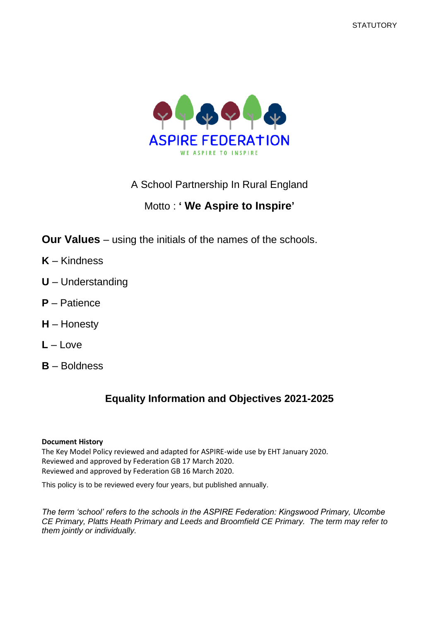

A School Partnership In Rural England

# Motto : **' We Aspire to Inspire'**

**Our Values** – using the initials of the names of the schools.

- **K** Kindness
- **U** Understanding
- **P** Patience
- **H** Honesty
- **L** Love
- **B** Boldness

# **Equality Information and Objectives 2021-2025**

#### **Document History**

The Key Model Policy reviewed and adapted for ASPIRE-wide use by EHT January 2020. Reviewed and approved by Federation GB 17 March 2020. Reviewed and approved by Federation GB 16 March 2020.

This policy is to be reviewed every four years, but published annually.

*The term 'school' refers to the schools in the ASPIRE Federation: Kingswood Primary, Ulcombe CE Primary, Platts Heath Primary and Leeds and Broomfield CE Primary. The term may refer to them jointly or individually.*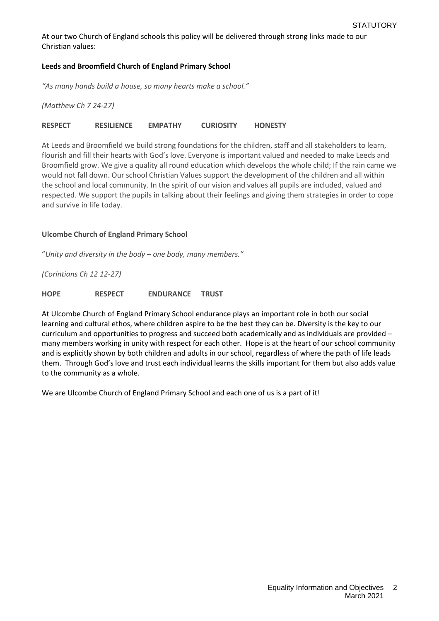At our two Church of England schools this policy will be delivered through strong links made to our Christian values:

#### **Leeds and Broomfield Church of England Primary School**

*"As many hands build a house, so many hearts make a school."*

*(Matthew Ch 7 24-27)*

#### **RESPECT RESILIENCE EMPATHY CURIOSITY HONESTY**

At Leeds and Broomfield we build strong foundations for the children, staff and all stakeholders to learn, flourish and fill their hearts with God's love. Everyone is important valued and needed to make Leeds and Broomfield grow. We give a quality all round education which develops the whole child; If the rain came we would not fall down. Our school Christian Values support the development of the children and all within the school and local community. In the spirit of our vision and values all pupils are included, valued and respected. We support the pupils in talking about their feelings and giving them strategies in order to cope and survive in life today.

#### **Ulcombe Church of England Primary School**

"*Unity and diversity in the body – one body, many members."*

*(Corintians Ch 12 12-27)*

**HOPE RESPECT ENDURANCE TRUST**

At Ulcombe Church of England Primary School endurance plays an important role in both our social learning and cultural ethos, where children aspire to be the best they can be. Diversity is the key to our curriculum and opportunities to progress and succeed both academically and as individuals are provided – many members working in unity with respect for each other. Hope is at the heart of our school community and is explicitly shown by both children and adults in our school, regardless of where the path of life leads them. Through God's love and trust each individual learns the skills important for them but also adds value to the community as a whole.

We are Ulcombe Church of England Primary School and each one of us is a part of it!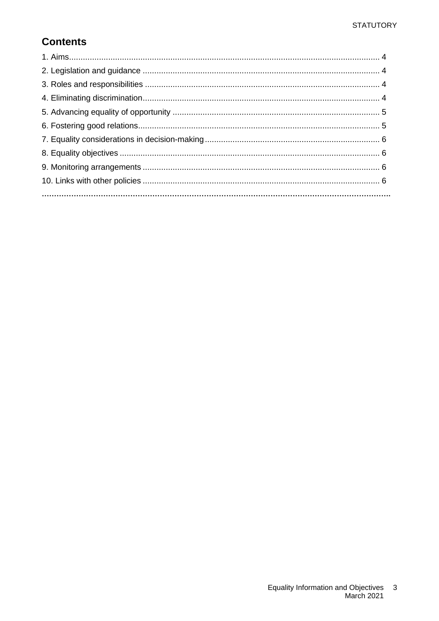# **Contents**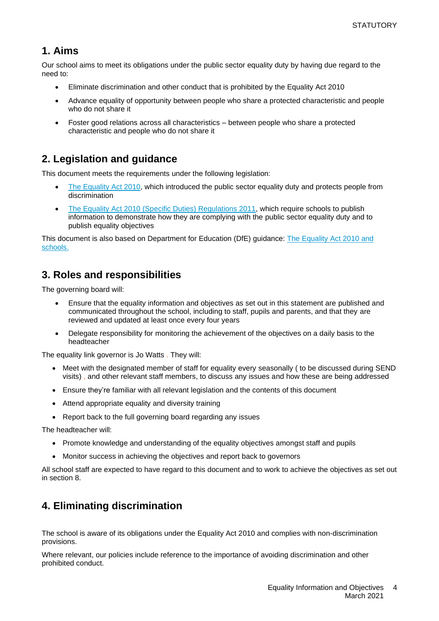#### **1. Aims**

Our school aims to meet its obligations under the public sector equality duty by having due regard to the need to:

- Eliminate discrimination and other conduct that is prohibited by the Equality Act 2010
- Advance equality of opportunity between people who share a protected characteristic and people who do not share it
- Foster good relations across all characteristics between people who share a protected characteristic and people who do not share it

# **2. Legislation and guidance**

This document meets the requirements under the following legislation:

- [The Equality Act 2010,](http://www.legislation.gov.uk/ukpga/2010/15/contents) which introduced the public sector equality duty and protects people from discrimination
- [The Equality Act 2010 \(Specific Duties\) Regulations 2011,](http://www.legislation.gov.uk/uksi/2011/2260/contents/made) which require schools to publish information to demonstrate how they are complying with the public sector equality duty and to publish equality objectives

This document is also based on Department for Education (DfE) guidance: [The Equality Act 2010 and](https://www.gov.uk/government/uploads/system/uploads/attachment_data/file/315587/Equality_Act_Advice_Final.pdf)  [schools.](https://www.gov.uk/government/uploads/system/uploads/attachment_data/file/315587/Equality_Act_Advice_Final.pdf) 

# **3. Roles and responsibilities**

The governing board will:

- Ensure that the equality information and objectives as set out in this statement are published and communicated throughout the school, including to staff, pupils and parents, and that they are reviewed and updated at least once every four years
- Delegate responsibility for monitoring the achievement of the objectives on a daily basis to the headteacher

The equality link governor is Jo Watts . They will:

- Meet with the designated member of staff for equality every seasonally (to be discussed during SEND visits) , and other relevant staff members, to discuss any issues and how these are being addressed
- Ensure they're familiar with all relevant legislation and the contents of this document
- Attend appropriate equality and diversity training
- Report back to the full governing board regarding any issues

The headteacher will:

- Promote knowledge and understanding of the equality objectives amongst staff and pupils
- Monitor success in achieving the objectives and report back to governors

All school staff are expected to have regard to this document and to work to achieve the objectives as set out in section 8.

# **4. Eliminating discrimination**

The school is aware of its obligations under the Equality Act 2010 and complies with non-discrimination provisions.

Where relevant, our policies include reference to the importance of avoiding discrimination and other prohibited conduct.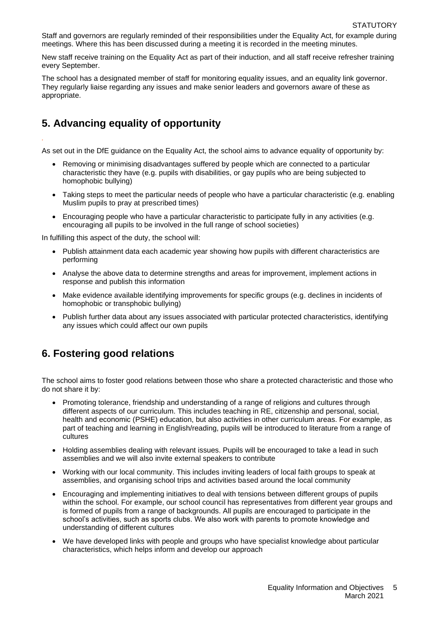Staff and governors are regularly reminded of their responsibilities under the Equality Act, for example during meetings. Where this has been discussed during a meeting it is recorded in the meeting minutes.

New staff receive training on the Equality Act as part of their induction, and all staff receive refresher training every September.

The school has a designated member of staff for monitoring equality issues, and an equality link governor. They regularly liaise regarding any issues and make senior leaders and governors aware of these as appropriate.

### **5. Advancing equality of opportunity**

*.*

As set out in the DfE guidance on the Equality Act, the school aims to advance equality of opportunity by:

- Removing or minimising disadvantages suffered by people which are connected to a particular characteristic they have (e.g. pupils with disabilities, or gay pupils who are being subjected to homophobic bullying)
- Taking steps to meet the particular needs of people who have a particular characteristic (e.g. enabling Muslim pupils to pray at prescribed times)
- Encouraging people who have a particular characteristic to participate fully in any activities (e.g. encouraging all pupils to be involved in the full range of school societies)

In fulfilling this aspect of the duty, the school will:

- Publish attainment data each academic year showing how pupils with different characteristics are performing
- Analyse the above data to determine strengths and areas for improvement, implement actions in response and publish this information
- Make evidence available identifying improvements for specific groups (e.g. declines in incidents of homophobic or transphobic bullying)
- Publish further data about any issues associated with particular protected characteristics, identifying any issues which could affect our own pupils

# **6. Fostering good relations**

The school aims to foster good relations between those who share a protected characteristic and those who do not share it by:

- Promoting tolerance, friendship and understanding of a range of religions and cultures through different aspects of our curriculum. This includes teaching in RE, citizenship and personal, social, health and economic (PSHE) education, but also activities in other curriculum areas. For example, as part of teaching and learning in English/reading, pupils will be introduced to literature from a range of cultures
- Holding assemblies dealing with relevant issues. Pupils will be encouraged to take a lead in such assemblies and we will also invite external speakers to contribute
- Working with our local community. This includes inviting leaders of local faith groups to speak at assemblies, and organising school trips and activities based around the local community
- Encouraging and implementing initiatives to deal with tensions between different groups of pupils within the school. For example, our school council has representatives from different year groups and is formed of pupils from a range of backgrounds. All pupils are encouraged to participate in the school's activities, such as sports clubs. We also work with parents to promote knowledge and understanding of different cultures
- We have developed links with people and groups who have specialist knowledge about particular characteristics, which helps inform and develop our approach